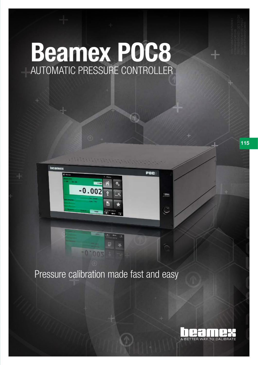# Beamex POC8 AUTOMATIC PRESSURE CONTROLLER



## Pressure calibration made fast and easy

 $.001$ 



115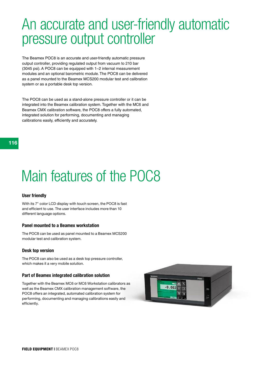## An accurate and user-friendly automatic pressure output controller

The Beamex POC8 is an accurate and user-friendly automatic pressure output controller, providing regulated output from vacuum to 210 bar (3045 psi). A POC8 can be equipped with 1–2 internal measurement modules and an optional barometric module. The POC8 can be delivered as a panel mounted to the Beamex MCS200 modular test and calibration system or as a portable desk top version.

The POC8 can be used as a stand-alone pressure controller or it can be integrated into the Beamex calibration system. Together with the MC6 and Beamex CMX calibration software, the POC8 offers a fully automated, integrated solution for performing, documenting and managing calibrations easily, efficiently and accurately.

## Main features of the POC8

#### User friendly

With its 7" color LCD display with touch screen, the POC8 is fast and efficient to use. The user interface includes more than 10 different language options.

#### Panel mounted to a Beamex workstation

The POC8 can be used as panel mounted to a Beamex MCS200 modular test and calibration system.

#### Desk top version

The POC8 can also be used as a desk top pressure controller, which makes it a very mobile solution.

### Part of Beamex integrated calibration solution

Together with the Beamex MC6 or MC6 Workstation calibrators as well as the Beamex CMX calibration management software, the POC8 offers an integrated, automated calibration system for performing, documenting and managing calibrations easily and efficiently.

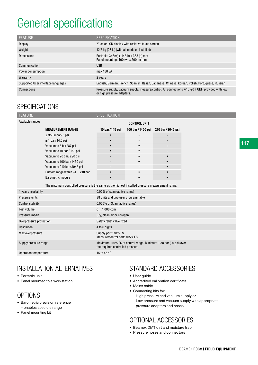## General specifications

| <b>FEATURE</b>                     | <b>SPECIFICATION</b>                                                                                                            |
|------------------------------------|---------------------------------------------------------------------------------------------------------------------------------|
| <b>Display</b>                     | 7" color LCD display with resistive touch screen                                                                                |
| Weight                             | 12.7 kg (28 lb) (with all modules installed)                                                                                    |
| <b>Dimensions</b>                  | Portable: 346(w) x 145(h) x 388 (d) mm<br>Panel mounting: 400 (w) x 200 (h) mm                                                  |
| Communication                      | <b>USB</b>                                                                                                                      |
| Power consumption                  | max 150 VA                                                                                                                      |
| Warranty                           | 2 years                                                                                                                         |
| Supported User interface languages | English, German, French, Spanish, Italian, Japanese, Chinese, Korean, Polish, Portuguese, Russian                               |
| Connections                        | Pressure supply, vacuum supply, measure/control. All connections 7/16-20 F UNF, provided with low<br>or high pressure adapters. |

## **SPECIFICATIONS**

| <b>FEATURE</b>           |                               | <b>SPECIFICATION</b>                                                                                  |                     |                    |  |  |
|--------------------------|-------------------------------|-------------------------------------------------------------------------------------------------------|---------------------|--------------------|--|--|
| Available ranges         |                               |                                                                                                       | <b>CONTROL UNIT</b> |                    |  |  |
|                          | <b>MEASUREMENT RANGE</b>      | 10 bar / 145 psi                                                                                      | 100 bar/1450 psi    | 210 bar / 3045 psi |  |  |
|                          | $\pm$ 350 mbar/5 psi          |                                                                                                       |                     |                    |  |  |
|                          | $± 1$ bar/14.5 psi            |                                                                                                       |                     |                    |  |  |
|                          | Vacuum to 6 bar/87 psi        |                                                                                                       |                     |                    |  |  |
|                          | Vacuum to 10 bar / 150 psi    |                                                                                                       |                     |                    |  |  |
|                          | Vacuum to 20 bar/290 psi      |                                                                                                       |                     | $\bullet$          |  |  |
|                          | Vacuum to 100 bar / 1450 psi  |                                                                                                       |                     |                    |  |  |
|                          | Vacuum to 210 bar/3045 psi    |                                                                                                       |                     |                    |  |  |
|                          | Custom range within -1210 bar |                                                                                                       |                     |                    |  |  |
|                          | <b>Barometric module</b>      |                                                                                                       |                     |                    |  |  |
|                          |                               | The maximum controlled pressure is the same as the highest installed pressure measurement range.      |                     |                    |  |  |
| 1 year uncertainty       |                               | 0.02% of span (active range)                                                                          |                     |                    |  |  |
| Pressure units           |                               | 38 units and two user programmable                                                                    |                     |                    |  |  |
| <b>Control stability</b> |                               | 0.005% of Span (active range)                                                                         |                     |                    |  |  |
| Test volume              |                               | $01,000$ ccm                                                                                          |                     |                    |  |  |
| Pressure media           |                               | Dry, clean air or nitrogen                                                                            |                     |                    |  |  |
| Overpressure protection  |                               | Safety relief valve fixed                                                                             |                     |                    |  |  |
| Resolution               |                               | 4 to 6 digits                                                                                         |                     |                    |  |  |
| Max overpressure         |                               | Supply port 110% FS<br>Measure/control port: 105% FS                                                  |                     |                    |  |  |
| Supply pressure range    |                               | Maximum 110% FS of control range. Minimum 1.38 bar (20 psi) over<br>the required controlled pressure. |                     |                    |  |  |
| Operation temperature    |                               | 15 to 45 °C                                                                                           |                     |                    |  |  |

## INSTALLATION ALTERNATIVES

- Portable unit
- Panel mounted to a workstation

## OPTIONS

- Barometric precision reference – enables absolute range
- Panel mounting kit

## STANDARD ACCESSORIES

- User guide
- Accredited calibration certificate
- Mains cable
- Connecting kits for:
	- High pressure and vacuum supply or
	- Low pressure and vacuum supply with appropriate pressure adapters and hoses

### OPTIONAL ACCESSORIES

- Beamex DMT dirt and moisture trap
- Pressure hoses and connectors